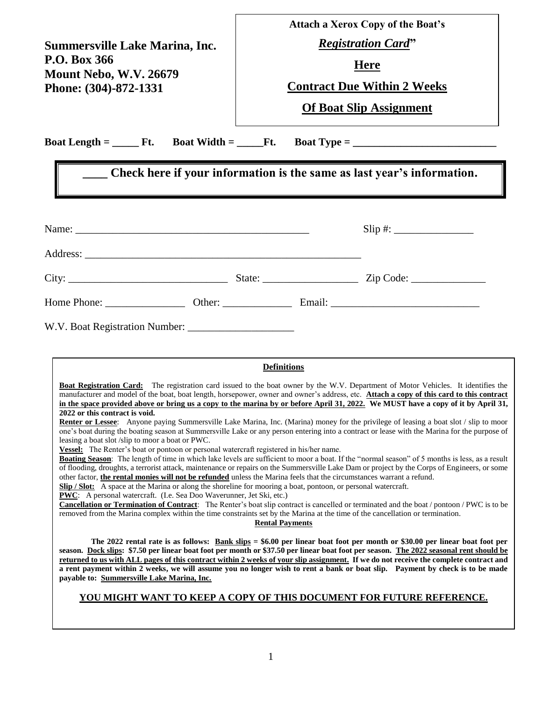|                                                                                                                                                                                                                                                                                                                                                                                                                                                                                                                                                                                                                                                                                                                                                                                                                                                                                                                                                                                                                                                                                                                                                                                                                                                                                                                                                                                                                                                                                                                                                              | <b>Attach a Xerox Copy of the Boat's</b><br><b>Registration Card"</b><br><b>Here</b><br><b>Contract Due Within 2 Weeks</b> |              |  |  |  |
|--------------------------------------------------------------------------------------------------------------------------------------------------------------------------------------------------------------------------------------------------------------------------------------------------------------------------------------------------------------------------------------------------------------------------------------------------------------------------------------------------------------------------------------------------------------------------------------------------------------------------------------------------------------------------------------------------------------------------------------------------------------------------------------------------------------------------------------------------------------------------------------------------------------------------------------------------------------------------------------------------------------------------------------------------------------------------------------------------------------------------------------------------------------------------------------------------------------------------------------------------------------------------------------------------------------------------------------------------------------------------------------------------------------------------------------------------------------------------------------------------------------------------------------------------------------|----------------------------------------------------------------------------------------------------------------------------|--------------|--|--|--|
| <b>Summersville Lake Marina, Inc.</b>                                                                                                                                                                                                                                                                                                                                                                                                                                                                                                                                                                                                                                                                                                                                                                                                                                                                                                                                                                                                                                                                                                                                                                                                                                                                                                                                                                                                                                                                                                                        |                                                                                                                            |              |  |  |  |
| P.O. Box 366                                                                                                                                                                                                                                                                                                                                                                                                                                                                                                                                                                                                                                                                                                                                                                                                                                                                                                                                                                                                                                                                                                                                                                                                                                                                                                                                                                                                                                                                                                                                                 |                                                                                                                            |              |  |  |  |
| <b>Mount Nebo, W.V. 26679</b><br>Phone: (304)-872-1331                                                                                                                                                                                                                                                                                                                                                                                                                                                                                                                                                                                                                                                                                                                                                                                                                                                                                                                                                                                                                                                                                                                                                                                                                                                                                                                                                                                                                                                                                                       |                                                                                                                            |              |  |  |  |
|                                                                                                                                                                                                                                                                                                                                                                                                                                                                                                                                                                                                                                                                                                                                                                                                                                                                                                                                                                                                                                                                                                                                                                                                                                                                                                                                                                                                                                                                                                                                                              | <b>Of Boat Slip Assignment</b>                                                                                             |              |  |  |  |
| the control of the control of the control of the control of the control of                                                                                                                                                                                                                                                                                                                                                                                                                                                                                                                                                                                                                                                                                                                                                                                                                                                                                                                                                                                                                                                                                                                                                                                                                                                                                                                                                                                                                                                                                   |                                                                                                                            |              |  |  |  |
| Check here if your information is the same as last year's information.                                                                                                                                                                                                                                                                                                                                                                                                                                                                                                                                                                                                                                                                                                                                                                                                                                                                                                                                                                                                                                                                                                                                                                                                                                                                                                                                                                                                                                                                                       |                                                                                                                            |              |  |  |  |
|                                                                                                                                                                                                                                                                                                                                                                                                                                                                                                                                                                                                                                                                                                                                                                                                                                                                                                                                                                                                                                                                                                                                                                                                                                                                                                                                                                                                                                                                                                                                                              |                                                                                                                            | $Slip \#:\_$ |  |  |  |
|                                                                                                                                                                                                                                                                                                                                                                                                                                                                                                                                                                                                                                                                                                                                                                                                                                                                                                                                                                                                                                                                                                                                                                                                                                                                                                                                                                                                                                                                                                                                                              |                                                                                                                            |              |  |  |  |
|                                                                                                                                                                                                                                                                                                                                                                                                                                                                                                                                                                                                                                                                                                                                                                                                                                                                                                                                                                                                                                                                                                                                                                                                                                                                                                                                                                                                                                                                                                                                                              |                                                                                                                            |              |  |  |  |
|                                                                                                                                                                                                                                                                                                                                                                                                                                                                                                                                                                                                                                                                                                                                                                                                                                                                                                                                                                                                                                                                                                                                                                                                                                                                                                                                                                                                                                                                                                                                                              |                                                                                                                            |              |  |  |  |
| <b>Definitions</b><br><b>Boat Registration Card:</b> The registration card issued to the boat owner by the W.V. Department of Motor Vehicles. It identifies the<br>manufacturer and model of the boat, boat length, horsepower, owner and owner's address, etc. <b>Attach a copy of this card to this contract</b><br>in the space provided above or bring us a copy to the marina by or before April 31, 2022. We MUST have a copy of it by April 31,<br>2022 or this contract is void.<br>Renter or Lessee: Anyone paying Summersville Lake Marina, Inc. (Marina) money for the privilege of leasing a boat slot / slip to moor<br>one's boat during the boating season at Summersville Lake or any person entering into a contract or lease with the Marina for the purpose of<br>leasing a boat slot/slip to moor a boat or PWC.<br>Vessel: The Renter's boat or pontoon or personal watercraft registered in his/her name.<br>Boating Season: The length of time in which lake levels are sufficient to moor a boat. If the "normal season" of 5 months is less, as a result<br>of flooding, droughts, a terrorist attack, maintenance or repairs on the Summersville Lake Dam or project by the Corps of Engineers, or some<br>other factor, the rental monies will not be refunded unless the Marina feels that the circumstances warrant a refund.<br>Slip / Slot: A space at the Marina or along the shoreline for mooring a boat, pontoon, or personal watercraft.<br><b>PWC</b> : A personal watercraft. (I.e. Sea Doo Waverunner, Jet Ski, etc.) |                                                                                                                            |              |  |  |  |
| <b>Cancellation or Termination of Contract</b> : The Renter's boat slip contract is cancelled or terminated and the boat / pontoon / PWC is to be<br>removed from the Marina complex within the time constraints set by the Marina at the time of the cancellation or termination.                                                                                                                                                                                                                                                                                                                                                                                                                                                                                                                                                                                                                                                                                                                                                                                                                                                                                                                                                                                                                                                                                                                                                                                                                                                                           | <b>Rental Payments</b>                                                                                                     |              |  |  |  |
| The 2022 rental rate is as follows: $\frac{Bank \, \, \text{slips}}{Bank \, \, \text{slips}} = $6.00$ per linear boat foot per month or \$30.00 per linear boat foot per<br>season. Dock slips: \$7.50 per linear boat foot per month or \$37.50 per linear boat foot per season. The 2022 seasonal rent should be<br>returned to us with ALL pages of this contract within 2 weeks of your slip assignment. If we do not receive the complete contract and<br>a rent payment within 2 weeks, we will assume you no longer wish to rent a bank or boat slip. Payment by check is to be made<br>payable to: Summersville Lake Marina, Inc.                                                                                                                                                                                                                                                                                                                                                                                                                                                                                                                                                                                                                                                                                                                                                                                                                                                                                                                    |                                                                                                                            |              |  |  |  |
| YOU MIGHT WANT TO KEEP A COPY OF THIS DOCUMENT FOR FUTURE REFERENCE.                                                                                                                                                                                                                                                                                                                                                                                                                                                                                                                                                                                                                                                                                                                                                                                                                                                                                                                                                                                                                                                                                                                                                                                                                                                                                                                                                                                                                                                                                         |                                                                                                                            |              |  |  |  |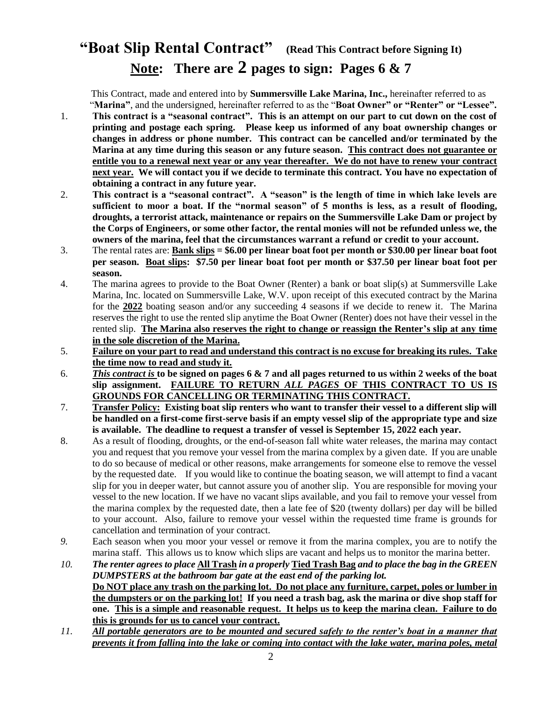## **"Boat Slip Rental Contract" (Read This Contract before Signing It) Note: There are 2 pages to sign: Pages 6 & 7**

 This Contract, made and entered into by **Summersville Lake Marina, Inc.,** hereinafter referred to as "**Marina"**, and the undersigned, hereinafter referred to as the "**Boat Owner" or "Renter" or "Lessee".**

- 1. **This contract is a "seasonal contract". This is an attempt on our part to cut down on the cost of printing and postage each spring. Please keep us informed of any boat ownership changes or changes in address or phone number. This contract can be cancelled and/or terminated by the Marina at any time during this season or any future season. This contract does not guarantee or entitle you to a renewal next year or any year thereafter. We do not have to renew your contract next year. We will contact you if we decide to terminate this contract. You have no expectation of obtaining a contract in any future year.**
- 2. **This contract is a "seasonal contract". A "season" is the length of time in which lake levels are sufficient to moor a boat. If the "normal season" of 5 months is less, as a result of flooding, droughts, a terrorist attack, maintenance or repairs on the Summersville Lake Dam or project by the Corps of Engineers, or some other factor, the rental monies will not be refunded unless we, the owners of the marina, feel that the circumstances warrant a refund or credit to your account.**
- 3. The rental rates are: **Bank slips = \$6.00 per linear boat foot per month or \$30.00 per linear boat foot per season. Boat slips: \$7.50 per linear boat foot per month or \$37.50 per linear boat foot per season.**
- 4. The marina agrees to provide to the Boat Owner (Renter) a bank or boat slip(s) at Summersville Lake Marina, Inc. located on Summersville Lake, W.V. upon receipt of this executed contract by the Marina for the **2022** boating season and/or any succeeding 4 seasons if we decide to renew it. The Marina reserves the right to use the rented slip anytime the Boat Owner (Renter) does not have their vessel in the rented slip. **The Marina also reserves the right to change or reassign the Renter's slip at any time in the sole discretion of the Marina.**
- 5. **Failure on your part to read and understand this contract is no excuse for breaking its rules. Take the time now to read and study it.**
- 6. *This contract is* **to be signed on pages 6 & 7 and all pages returned to us within 2 weeks of the boat slip assignment. FAILURE TO RETURN** *ALL PAGES* **OF THIS CONTRACT TO US IS GROUNDS FOR CANCELLING OR TERMINATING THIS CONTRACT.**
- 7. **Transfer Policy: Existing boat slip renters who want to transfer their vessel to a different slip will be handled on a first-come first-serve basis if an empty vessel slip of the appropriate type and size is available. The deadline to request a transfer of vessel is September 15, 2022 each year.**
- 8. As a result of flooding, droughts, or the end-of-season fall white water releases, the marina may contact you and request that you remove your vessel from the marina complex by a given date. If you are unable to do so because of medical or other reasons, make arrangements for someone else to remove the vessel by the requested date. If you would like to continue the boating season, we will attempt to find a vacant slip for you in deeper water, but cannot assure you of another slip. You are responsible for moving your vessel to the new location. If we have no vacant slips available, and you fail to remove your vessel from the marina complex by the requested date, then a late fee of \$20 (twenty dollars) per day will be billed to your account. Also, failure to remove your vessel within the requested time frame is grounds for cancellation and termination of your contract.
- *9.* Each season when you moor your vessel or remove it from the marina complex, you are to notify the marina staff. This allows us to know which slips are vacant and helps us to monitor the marina better.
- *10. The renter agrees to place* **All Trash** *in a properly* **Tied Trash Bag** *and to place the bag in the GREEN DUMPSTERS at the bathroom bar gate at the east end of the parking lot.*  **Do NOT place any trash on the parking lot. Do not place any furniture, carpet, poles or lumber in the dumpsters or on the parking lot! If you need a trash bag, ask the marina or dive shop staff for one. This is a simple and reasonable request. It helps us to keep the marina clean. Failure to do this is grounds for us to cancel your contract.**
- *11. All portable generators are to be mounted and secured safely to the renter's boat in a manner that prevents it from falling into the lake or coming into contact with the lake water, marina poles, metal*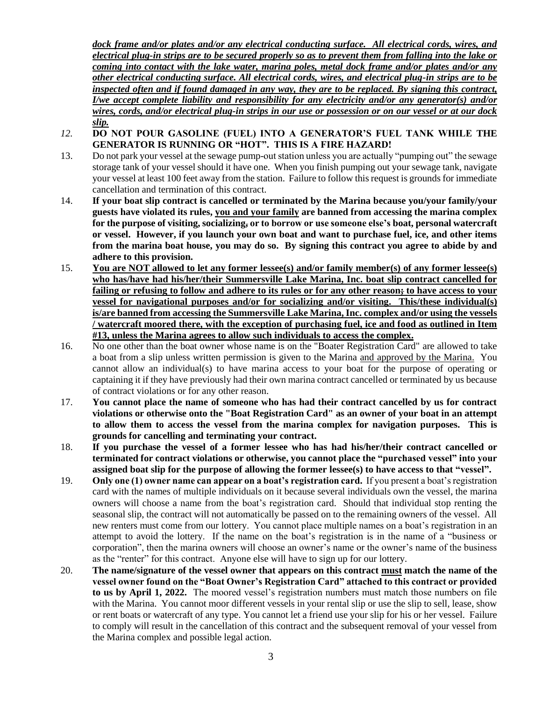*dock frame and/or plates and/or any electrical conducting surface. All electrical cords, wires, and electrical plug-in strips are to be secured properly so as to prevent them from falling into the lake or coming into contact with the lake water, marina poles, metal dock frame and/or plates and/or any other electrical conducting surface. All electrical cords, wires, and electrical plug-in strips are to be inspected often and if found damaged in any way, they are to be replaced. By signing this contract, I/we accept complete liability and responsibility for any electricity and/or any generator(s) and/or wires, cords, and/or electrical plug-in strips in our use or possession or on our vessel or at our dock slip.*

- *12.* **DO NOT POUR GASOLINE (FUEL) INTO A GENERATOR'S FUEL TANK WHILE THE GENERATOR IS RUNNING OR "HOT". THIS IS A FIRE HAZARD!**
- 13. Do not park your vessel at the sewage pump-out station unless you are actually "pumping out" the sewage storage tank of your vessel should it have one. When you finish pumping out your sewage tank, navigate your vessel at least 100 feet away from the station. Failure to follow this request is grounds for immediate cancellation and termination of this contract.
- 14. **If your boat slip contract is cancelled or terminated by the Marina because you/your family/your guests have violated its rules, you and your family are banned from accessing the marina complex for the purpose of visiting, socializing, or to borrow or use someone else's boat, personal watercraft or vessel. However, if you launch your own boat and want to purchase fuel, ice, and other items from the marina boat house, you may do so. By signing this contract you agree to abide by and adhere to this provision.**
- 15. **You are NOT allowed to let any former lessee(s) and/or family member(s) of any former lessee(s) who has/have had his/her/their Summersville Lake Marina, Inc. boat slip contract cancelled for failing or refusing to follow and adhere to its rules or for any other reason; to have access to your vessel for navigational purposes and/or for socializing and/or visiting. This/these individual(s) is/are banned from accessing the Summersville Lake Marina, Inc. complex and/or using the vessels / watercraft moored there, with the exception of purchasing fuel, ice and food as outlined in Item #13, unless the Marina agrees to allow such individuals to access the complex.**
- 16. No one other than the boat owner whose name is on the "Boater Registration Card" are allowed to take a boat from a slip unless written permission is given to the Marina and approved by the Marina. You cannot allow an individual(s) to have marina access to your boat for the purpose of operating or captaining it if they have previously had their own marina contract cancelled or terminated by us because of contract violations or for any other reason.
- 17. **You cannot place the name of someone who has had their contract cancelled by us for contract violations or otherwise onto the "Boat Registration Card" as an owner of your boat in an attempt to allow them to access the vessel from the marina complex for navigation purposes. This is grounds for cancelling and terminating your contract.**
- 18. **If you purchase the vessel of a former lessee who has had his/her/their contract cancelled or terminated for contract violations or otherwise, you cannot place the "purchased vessel" into your assigned boat slip for the purpose of allowing the former lessee(s) to have access to that "vessel".**
- 19. **Only one (1) owner name can appear on a boat's registration card.** If you present a boat's registration card with the names of multiple individuals on it because several individuals own the vessel, the marina owners will choose a name from the boat's registration card. Should that individual stop renting the seasonal slip, the contract will not automatically be passed on to the remaining owners of the vessel. All new renters must come from our lottery. You cannot place multiple names on a boat's registration in an attempt to avoid the lottery. If the name on the boat's registration is in the name of a "business or corporation", then the marina owners will choose an owner's name or the owner's name of the business as the "renter" for this contract. Anyone else will have to sign up for our lottery.
- 20. **The name/signature of the vessel owner that appears on this contract must match the name of the vessel owner found on the "Boat Owner's Registration Card" attached to this contract or provided to us by April 1, 2022.** The moored vessel's registration numbers must match those numbers on file with the Marina. You cannot moor different vessels in your rental slip or use the slip to sell, lease, show or rent boats or watercraft of any type. You cannot let a friend use your slip for his or her vessel. Failure to comply will result in the cancellation of this contract and the subsequent removal of your vessel from the Marina complex and possible legal action.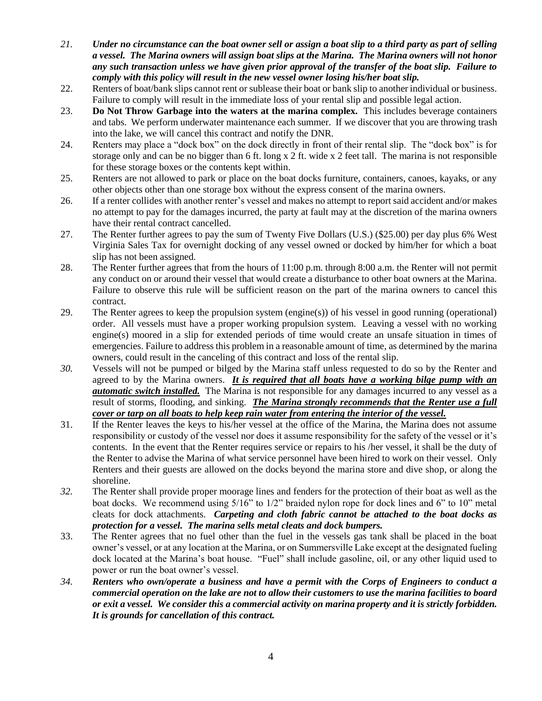- *21. Under no circumstance can the boat owner sell or assign a boat slip to a third party as part of selling a vessel. The Marina owners will assign boat slips at the Marina. The Marina owners will not honor any such transaction unless we have given prior approval of the transfer of the boat slip. Failure to comply with this policy will result in the new vessel owner losing his/her boat slip.*
- 22. Renters of boat/bank slips cannot rent or sublease their boat or bank slip to another individual or business. Failure to comply will result in the immediate loss of your rental slip and possible legal action.
- 23. **Do Not Throw Garbage into the waters at the marina complex.** This includes beverage containers and tabs. We perform underwater maintenance each summer. If we discover that you are throwing trash into the lake, we will cancel this contract and notify the DNR.
- 24. Renters may place a "dock box" on the dock directly in front of their rental slip. The "dock box" is for storage only and can be no bigger than 6 ft. long  $x \, 2$  ft. wide  $x \, 2$  feet tall. The marina is not responsible for these storage boxes or the contents kept within.
- 25. Renters are not allowed to park or place on the boat docks furniture, containers, canoes, kayaks, or any other objects other than one storage box without the express consent of the marina owners.
- 26. If a renter collides with another renter's vessel and makes no attempt to report said accident and/or makes no attempt to pay for the damages incurred, the party at fault may at the discretion of the marina owners have their rental contract cancelled.
- 27. The Renter further agrees to pay the sum of Twenty Five Dollars (U.S.) (\$25.00) per day plus 6% West Virginia Sales Tax for overnight docking of any vessel owned or docked by him/her for which a boat slip has not been assigned.
- 28. The Renter further agrees that from the hours of 11:00 p.m. through 8:00 a.m. the Renter will not permit any conduct on or around their vessel that would create a disturbance to other boat owners at the Marina. Failure to observe this rule will be sufficient reason on the part of the marina owners to cancel this contract.
- 29. The Renter agrees to keep the propulsion system (engine(s)) of his vessel in good running (operational) order. All vessels must have a proper working propulsion system. Leaving a vessel with no working engine(s) moored in a slip for extended periods of time would create an unsafe situation in times of emergencies. Failure to address this problem in a reasonable amount of time, as determined by the marina owners, could result in the canceling of this contract and loss of the rental slip.
- *30.* Vessels will not be pumped or bilged by the Marina staff unless requested to do so by the Renter and agreed to by the Marina owners. *It is required that all boats have a working bilge pump with an automatic switch installed.* The Marina is not responsible for any damages incurred to any vessel as a result of storms, flooding, and sinking. *The Marina strongly recommends that the Renter use a full cover or tarp on all boats to help keep rain water from entering the interior of the vessel.*
- 31. If the Renter leaves the keys to his/her vessel at the office of the Marina, the Marina does not assume responsibility or custody of the vessel nor does it assume responsibility for the safety of the vessel or it's contents. In the event that the Renter requires service or repairs to his /her vessel, it shall be the duty of the Renter to advise the Marina of what service personnel have been hired to work on their vessel. Only Renters and their guests are allowed on the docks beyond the marina store and dive shop, or along the shoreline.
- *32.* The Renter shall provide proper moorage lines and fenders for the protection of their boat as well as the boat docks. We recommend using 5/16" to 1/2" braided nylon rope for dock lines and 6" to 10" metal cleats for dock attachments. *Carpeting and cloth fabric cannot be attached to the boat docks as protection for a vessel. The marina sells metal cleats and dock bumpers.*
- 33. The Renter agrees that no fuel other than the fuel in the vessels gas tank shall be placed in the boat owner's vessel, or at any location at the Marina, or on Summersville Lake except at the designated fueling dock located at the Marina's boat house. "Fuel" shall include gasoline, oil, or any other liquid used to power or run the boat owner's vessel.
- *34. Renters who own/operate a business and have a permit with the Corps of Engineers to conduct a commercial operation on the lake are not to allow their customers to use the marina facilities to board or exit a vessel. We consider this a commercial activity on marina property and it is strictly forbidden. It is grounds for cancellation of this contract.*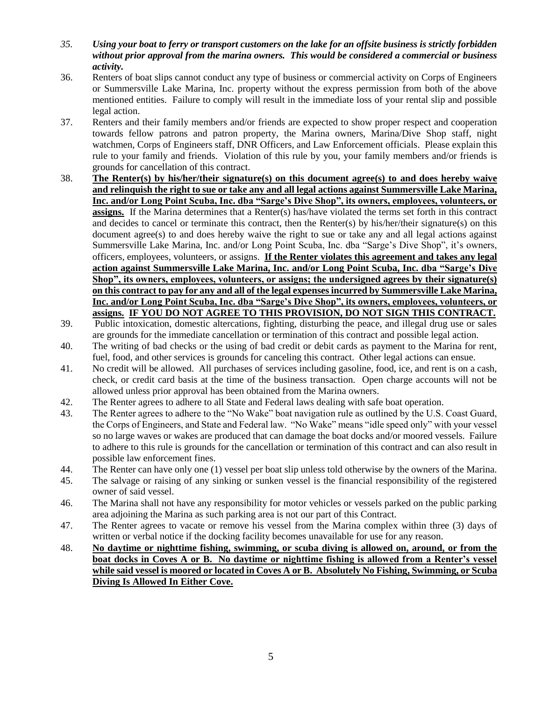- *35. Using your boat to ferry or transport customers on the lake for an offsite business is strictly forbidden without prior approval from the marina owners. This would be considered a commercial or business activity.*
- 36. Renters of boat slips cannot conduct any type of business or commercial activity on Corps of Engineers or Summersville Lake Marina, Inc. property without the express permission from both of the above mentioned entities. Failure to comply will result in the immediate loss of your rental slip and possible legal action.
- 37. Renters and their family members and/or friends are expected to show proper respect and cooperation towards fellow patrons and patron property, the Marina owners, Marina/Dive Shop staff, night watchmen, Corps of Engineers staff, DNR Officers, and Law Enforcement officials. Please explain this rule to your family and friends. Violation of this rule by you, your family members and/or friends is grounds for cancellation of this contract.
- 38. **The Renter(s) by his/her/their signature(s) on this document agree(s) to and does hereby waive and relinquish the right to sue or take any and all legal actions against Summersville Lake Marina, Inc. and/or Long Point Scuba, Inc. dba "Sarge's Dive Shop", its owners, employees, volunteers, or assigns.** If the Marina determines that a Renter(s) has/have violated the terms set forth in this contract and decides to cancel or terminate this contract, then the Renter(s) by his/her/their signature(s) on this document agree(s) to and does hereby waive the right to sue or take any and all legal actions against Summersville Lake Marina, Inc. and/or Long Point Scuba, Inc. dba "Sarge's Dive Shop", it's owners, officers, employees, volunteers, or assigns. **If the Renter violates this agreement and takes any legal action against Summersville Lake Marina, Inc. and/or Long Point Scuba, Inc. dba "Sarge's Dive Shop", its owners, employees, volunteers, or assigns; the undersigned agrees by their signature(s) on this contract to pay for any and all of the legal expenses incurred by Summersville Lake Marina, Inc. and/or Long Point Scuba, Inc. dba "Sarge's Dive Shop", its owners, employees, volunteers, or assigns. IF YOU DO NOT AGREE TO THIS PROVISION, DO NOT SIGN THIS CONTRACT.**
- 39. Public intoxication, domestic altercations, fighting, disturbing the peace, and illegal drug use or sales are grounds for the immediate cancellation or termination of this contract and possible legal action.
- 40. The writing of bad checks or the using of bad credit or debit cards as payment to the Marina for rent, fuel, food, and other services is grounds for canceling this contract. Other legal actions can ensue.
- 41. No credit will be allowed. All purchases of services including gasoline, food, ice, and rent is on a cash, check, or credit card basis at the time of the business transaction. Open charge accounts will not be allowed unless prior approval has been obtained from the Marina owners.
- 42. The Renter agrees to adhere to all State and Federal laws dealing with safe boat operation.
- 43. The Renter agrees to adhere to the "No Wake" boat navigation rule as outlined by the U.S. Coast Guard, the Corps of Engineers, and State and Federal law. "No Wake" means "idle speed only" with your vessel so no large waves or wakes are produced that can damage the boat docks and/or moored vessels. Failure to adhere to this rule is grounds for the cancellation or termination of this contract and can also result in possible law enforcement fines.
- 44. The Renter can have only one (1) vessel per boat slip unless told otherwise by the owners of the Marina.
- 45. The salvage or raising of any sinking or sunken vessel is the financial responsibility of the registered owner of said vessel.
- 46. The Marina shall not have any responsibility for motor vehicles or vessels parked on the public parking area adjoining the Marina as such parking area is not our part of this Contract.
- 47. The Renter agrees to vacate or remove his vessel from the Marina complex within three (3) days of written or verbal notice if the docking facility becomes unavailable for use for any reason.
- 48. **No daytime or nighttime fishing, swimming, or scuba diving is allowed on, around, or from the boat docks in Coves A or B. No daytime or nighttime fishing is allowed from a Renter's vessel while said vessel is moored or located in Coves A or B. Absolutely No Fishing, Swimming, or Scuba Diving Is Allowed In Either Cove.**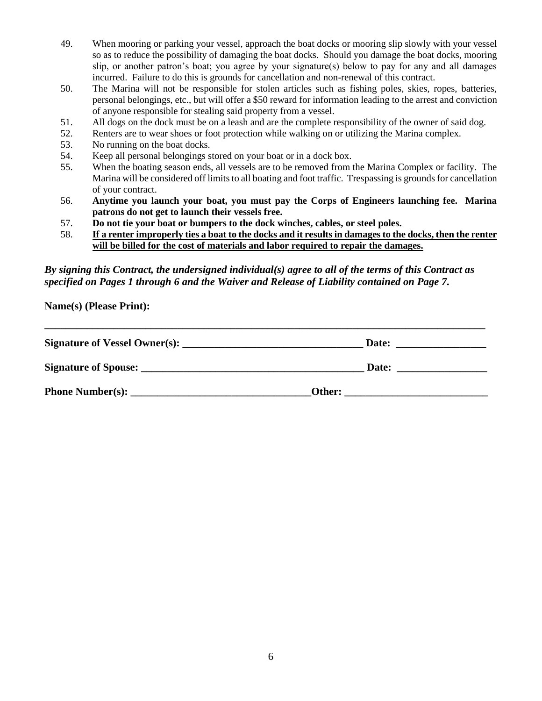- 49. When mooring or parking your vessel, approach the boat docks or mooring slip slowly with your vessel so as to reduce the possibility of damaging the boat docks. Should you damage the boat docks, mooring slip, or another patron's boat; you agree by your signature(s) below to pay for any and all damages incurred. Failure to do this is grounds for cancellation and non-renewal of this contract.
- 50. The Marina will not be responsible for stolen articles such as fishing poles, skies, ropes, batteries, personal belongings, etc., but will offer a \$50 reward for information leading to the arrest and conviction of anyone responsible for stealing said property from a vessel.
- 51. All dogs on the dock must be on a leash and are the complete responsibility of the owner of said dog.
- 52. Renters are to wear shoes or foot protection while walking on or utilizing the Marina complex.
- 53. No running on the boat docks.
- 54. Keep all personal belongings stored on your boat or in a dock box.
- 55. When the boating season ends, all vessels are to be removed from the Marina Complex or facility. The Marina will be considered off limits to all boating and foot traffic. Trespassing is grounds for cancellation of your contract.
- 56. **Anytime you launch your boat, you must pay the Corps of Engineers launching fee. Marina patrons do not get to launch their vessels free.**
- 57. **Do not tie your boat or bumpers to the dock winches, cables, or steel poles.**
- 58. **If a renter improperly ties a boat to the docks and it results in damages to the docks, then the renter will be billed for the cost of materials and labor required to repair the damages.**

## *By signing this Contract, the undersigned individual(s) agree to all of the terms of this Contract as specified on Pages 1 through 6 and the Waiver and Release of Liability contained on Page 7.*

**Name(s) (Please Print):** 

| Signature of Vessel Owner(s):    | Date:  |  |
|----------------------------------|--------|--|
|                                  | Date:  |  |
| Phone Number(s): $\qquad \qquad$ | Other: |  |